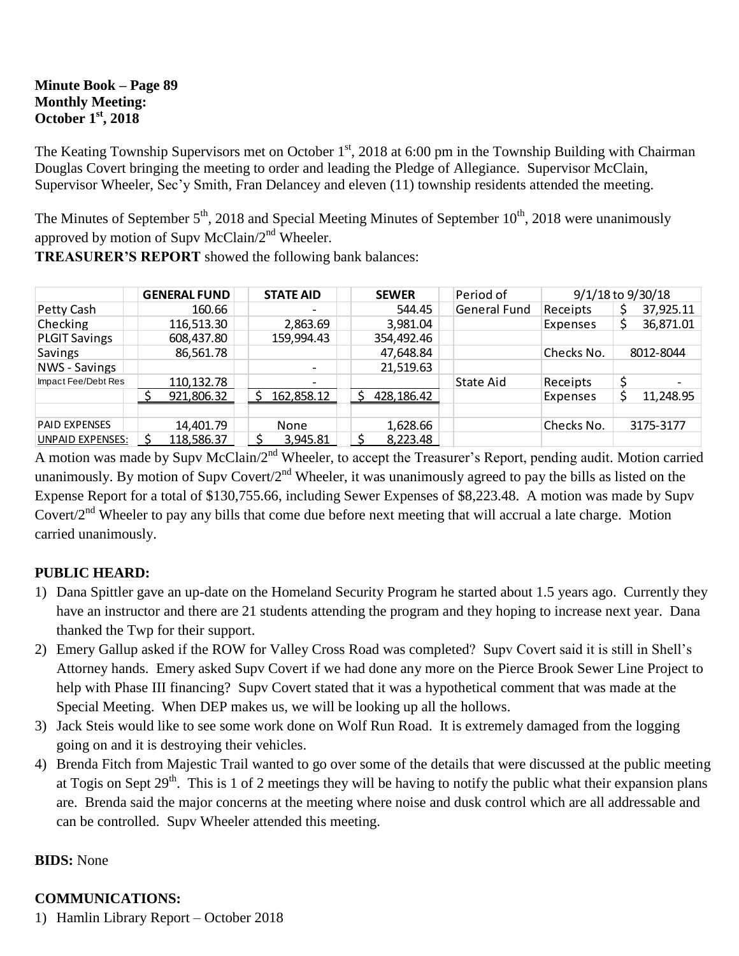### **Minute Book – Page 89 Monthly Meeting: October 1st, 2018**

The Keating Township Supervisors met on October  $1<sup>st</sup>$ , 2018 at 6:00 pm in the Township Building with Chairman Douglas Covert bringing the meeting to order and leading the Pledge of Allegiance. Supervisor McClain, Supervisor Wheeler, Sec'y Smith, Fran Delancey and eleven (11) township residents attended the meeting.

The Minutes of September 5<sup>th</sup>, 2018 and Special Meeting Minutes of September 10<sup>th</sup>, 2018 were unanimously approved by motion of Supv McClain/2<sup>nd</sup> Wheeler.

|                      | <b>GENERAL FUND</b> | <b>STATE AID</b>         | <b>SEWER</b>    | Period of    | 9/1/18 to 9/30/18 |           |
|----------------------|---------------------|--------------------------|-----------------|--------------|-------------------|-----------|
| Petty Cash           | 160.66              | $\overline{\phantom{0}}$ | 544.45          | General Fund | Receipts          | 37,925.11 |
| Checking             | 116,513.30          | 2,863.69                 | 3,981.04        |              | Expenses          | 36,871.01 |
| <b>PLGIT Savings</b> | 608,437.80          | 159,994.43               | 354,492.46      |              |                   |           |
| Savings              | 86,561.78           |                          | 47,648.84       |              | Checks No.        | 8012-8044 |
| <b>NWS</b> - Savings |                     | $\overline{\phantom{0}}$ | 21,519.63       |              |                   |           |
| Impact Fee/Debt Res  | 110,132.78          |                          |                 | State Aid    | Receipts          |           |
|                      | 921,806.32          | 162,858.12               | 428,186.42<br>ς |              | Expenses          | 11,248.95 |
|                      |                     |                          |                 |              |                   |           |
| <b>PAID EXPENSES</b> | 14,401.79           | None                     | 1,628.66        |              | Checks No.        | 3175-3177 |
| UNPAID EXPENSES:     | 118,586.37          | 3,945.81                 | 8,223.48        |              |                   |           |

**TREASURER'S REPORT** showed the following bank balances:

A motion was made by Supv McClain/2<sup>nd</sup> Wheeler, to accept the Treasurer's Report, pending audit. Motion carried unanimously. By motion of Supv Covert/ $2^{nd}$  Wheeler, it was unanimously agreed to pay the bills as listed on the Expense Report for a total of \$130,755.66, including Sewer Expenses of \$8,223.48. A motion was made by Supv Covert/2nd Wheeler to pay any bills that come due before next meeting that will accrual a late charge. Motion carried unanimously.

# **PUBLIC HEARD:**

- 1) Dana Spittler gave an up-date on the Homeland Security Program he started about 1.5 years ago. Currently they have an instructor and there are 21 students attending the program and they hoping to increase next year. Dana thanked the Twp for their support.
- 2) Emery Gallup asked if the ROW for Valley Cross Road was completed? Supv Covert said it is still in Shell's Attorney hands. Emery asked Supv Covert if we had done any more on the Pierce Brook Sewer Line Project to help with Phase III financing? Supv Covert stated that it was a hypothetical comment that was made at the Special Meeting. When DEP makes us, we will be looking up all the hollows.
- 3) Jack Steis would like to see some work done on Wolf Run Road. It is extremely damaged from the logging going on and it is destroying their vehicles.
- 4) Brenda Fitch from Majestic Trail wanted to go over some of the details that were discussed at the public meeting at Togis on Sept  $29<sup>th</sup>$ . This is 1 of 2 meetings they will be having to notify the public what their expansion plans are. Brenda said the major concerns at the meeting where noise and dusk control which are all addressable and can be controlled. Supv Wheeler attended this meeting.

# **BIDS:** None

### **COMMUNICATIONS:**

1) Hamlin Library Report – October 2018